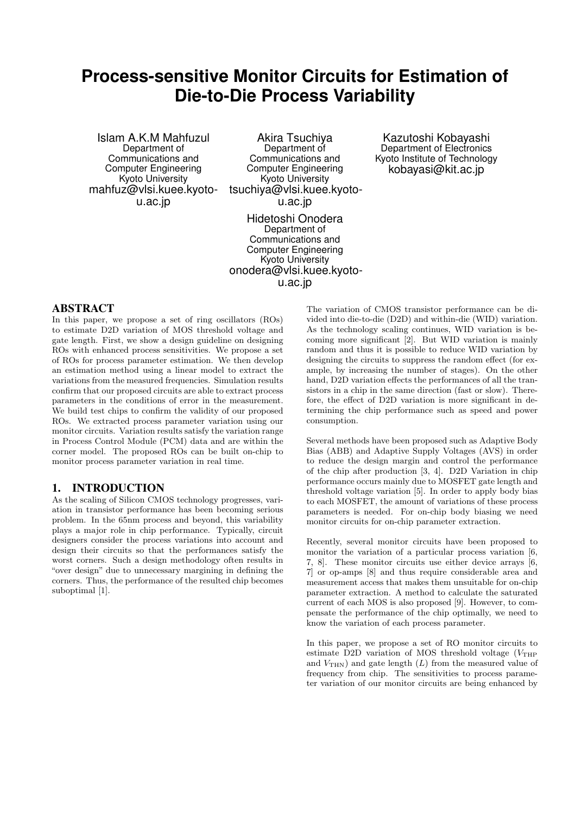# **Process-sensitive Monitor Circuits for Estimation of Die-to-Die Process Variability**

Islam A.K.M Mahfuzul Department of Communications and Computer Engineering Kyoto University mahfuz@vlsi.kuee.kyotou.ac.jp

Akira Tsuchiya Department of Communications and Computer Engineering Kyoto University tsuchiya@vlsi.kuee.kyotou.ac.jp

Hidetoshi Onodera Department of Communications and Computer Engineering Kyoto University onodera@vlsi.kuee.kyotou.ac.jp

Kazutoshi Kobayashi Department of Electronics Kyoto Institute of Technology kobayasi@kit.ac.jp

## ABSTRACT

In this paper, we propose a set of ring oscillators (ROs) to estimate D2D variation of MOS threshold voltage and gate length. First, we show a design guideline on designing ROs with enhanced process sensitivities. We propose a set of ROs for process parameter estimation. We then develop an estimation method using a linear model to extract the variations from the measured frequencies. Simulation results confirm that our proposed circuits are able to extract process parameters in the conditions of error in the measurement. We build test chips to confirm the validity of our proposed ROs. We extracted process parameter variation using our monitor circuits. Variation results satisfy the variation range in Process Control Module (PCM) data and are within the corner model. The proposed ROs can be built on-chip to monitor process parameter variation in real time.

## 1. INTRODUCTION

As the scaling of Silicon CMOS technology progresses, variation in transistor performance has been becoming serious problem. In the 65nm process and beyond, this variability plays a major role in chip performance. Typically, circuit designers consider the process variations into account and design their circuits so that the performances satisfy the worst corners. Such a design methodology often results in "over design" due to unnecessary margining in defining the corners. Thus, the performance of the resulted chip becomes suboptimal [1].

The variation of CMOS transistor performance can be divided into die-to-die (D2D) and within-die (WID) variation. As the technology scaling continues, WID variation is becoming more significant [2]. But WID variation is mainly random and thus it is possible to reduce WID variation by designing the circuits to suppress the random effect (for example, by increasing the number of stages). On the other hand, D2D variation effects the performances of all the transistors in a chip in the same direction (fast or slow). Therefore, the effect of D2D variation is more significant in determining the chip performance such as speed and power consumption.

Several methods have been proposed such as Adaptive Body Bias (ABB) and Adaptive Supply Voltages (AVS) in order to reduce the design margin and control the performance of the chip after production [3, 4]. D2D Variation in chip performance occurs mainly due to MOSFET gate length and threshold voltage variation [5]. In order to apply body bias to each MOSFET, the amount of variations of these process parameters is needed. For on-chip body biasing we need monitor circuits for on-chip parameter extraction.

Recently, several monitor circuits have been proposed to monitor the variation of a particular process variation [6, 7, 8]. These monitor circuits use either device arrays [6, 7] or op-amps [8] and thus require considerable area and measurement access that makes them unsuitable for on-chip parameter extraction. A method to calculate the saturated current of each MOS is also proposed [9]. However, to compensate the performance of the chip optimally, we need to know the variation of each process parameter.

In this paper, we propose a set of RO monitor circuits to estimate D2D variation of MOS threshold voltage  $(V_{\text{THP}})$ and  $V_{\text{THN}}$ ) and gate length  $(L)$  from the measured value of frequency from chip. The sensitivities to process parameter variation of our monitor circuits are being enhanced by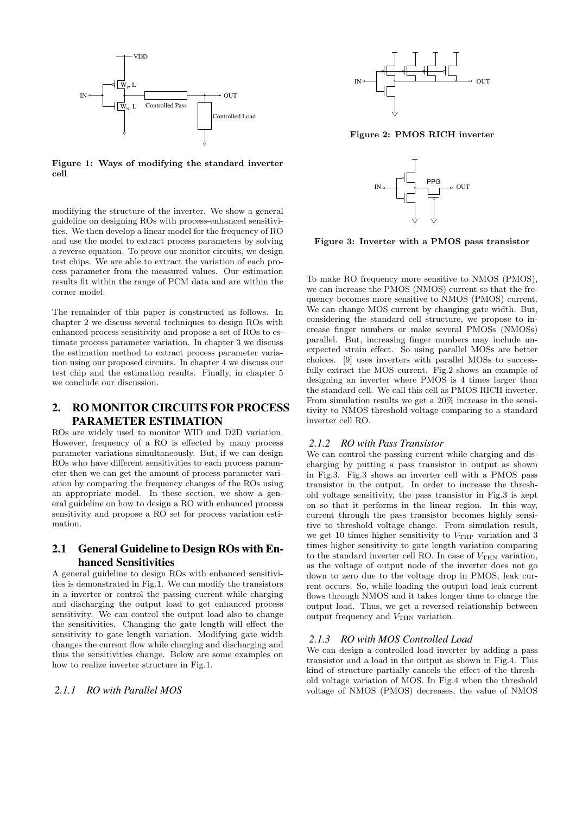

**Figure 1: Ways of modifying the standard inverter cell**

modifying the structure of the inverter. We show a general guideline on designing ROs with process-enhanced sensitivities. We then develop a linear model for the frequency of RO and use the model to extract process parameters by solving a reverse equation. To prove our monitor circuits, we design test chips. We are able to extract the variation of each process parameter from the measured values. Our estimation results fit within the range of PCM data and are within the corner model.

The remainder of this paper is constructed as follows. In chapter 2 we discuss several techniques to design ROs with enhanced process sensitivity and propose a set of ROs to estimate process parameter variation. In chapter 3 we discuss the estimation method to extract process parameter variation using our proposed circuits. In chapter 4 we discuss our test chip and the estimation results. Finally, in chapter 5 we conclude our discussion.

# 2. RO MONITOR CIRCUITS FOR PROCESS PARAMETER ESTIMATION

ROs are widely used to monitor WID and D2D variation. However, frequency of a RO is effected by many process parameter variations simultaneously. But, if we can design ROs who have different sensitivities to each process parameter then we can get the amount of process parameter variation by comparing the frequency changes of the ROs using an appropriate model. In these section, we show a general guideline on how to design a RO with enhanced process sensitivity and propose a RO set for process variation estimation.

# 2.1 General Guideline to Design ROs with Enhanced Sensitivities

A general guideline to design ROs with enhanced sensitivities is demonstrated in Fig.1. We can modify the transistors in a inverter or control the passing current while charging and discharging the output load to get enhanced process sensitivity. We can control the output load also to change the sensitivities. Changing the gate length will effect the sensitivity to gate length variation. Modifying gate width changes the current flow while charging and discharging and thus the sensitivities change. Below are some examples on how to realize inverter structure in Fig.1.

## *2.1.1 RO with Parallel MOS*



**Figure 2: PMOS RICH inverter**



**Figure 3: Inverter with a PMOS pass transistor**

To make RO frequency more sensitive to NMOS (PMOS), we can increase the PMOS (NMOS) current so that the frequency becomes more sensitive to NMOS (PMOS) current. We can change MOS current by changing gate width. But, considering the standard cell structure, we propose to increase finger numbers or make several PMOSs (NMOSs) parallel. But, increasing finger numbers may include unexpected strain effect. So using parallel MOSs are better choices. [9] uses inverters with parallel MOSs to successfully extract the MOS current. Fig.2 shows an example of designing an inverter where PMOS is 4 times larger than the standard cell. We call this cell as PMOS RICH inverter. From simulation results we get a 20% increase in the sensitivity to NMOS threshold voltage comparing to a standard inverter cell RO.

#### *2.1.2 RO with Pass Transistor*

We can control the passing current while charging and discharging by putting a pass transistor in output as shown in Fig.3. Fig.3 shows an inverter cell with a PMOS pass transistor in the output. In order to increase the threshold voltage sensitivity, the pass transistor in Fig.3 is kept on so that it performs in the linear region. In this way, current through the pass transistor becomes highly sensitive to threshold voltage change. From simulation result, we get 10 times higher sensitivity to  $V_{\text{THP}}$  variation and 3 times higher sensitivity to gate length variation comparing to the standard inverter cell RO. In case of  $V_{\text{THN}}$  variation, as the voltage of output node of the inverter does not go down to zero due to the voltage drop in PMOS, leak current occurs. So, while loading the output load leak current flows through NMOS and it takes longer time to charge the output load. Thus, we get a reversed relationship between output frequency and  $V_{\text{THN}}$  variation.

#### *2.1.3 RO with MOS Controlled Load*

We can design a controlled load inverter by adding a pass transistor and a load in the output as shown in Fig.4. This kind of structure partially cancels the effect of the threshold voltage variation of MOS. In Fig.4 when the threshold voltage of NMOS (PMOS) decreases, the value of NMOS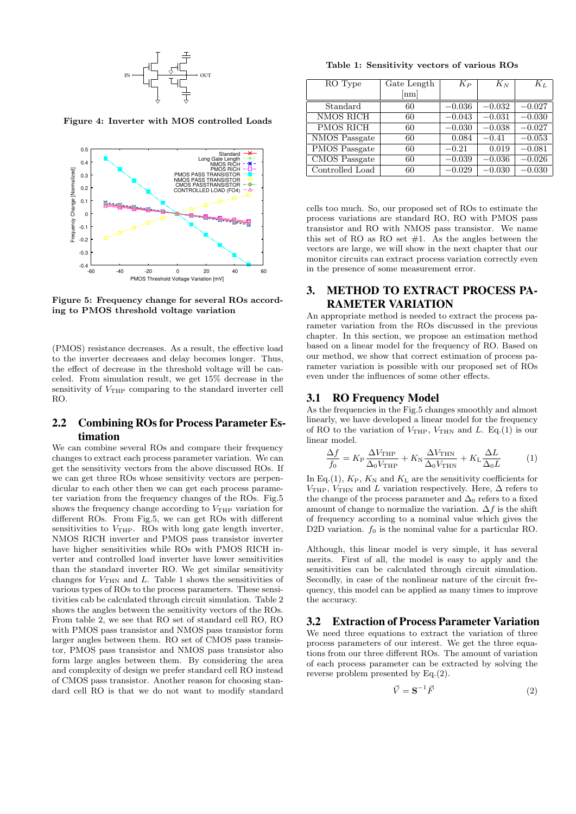

**Figure 4: Inverter with MOS controlled Loads**



**Figure 5: Frequency change for several ROs according to PMOS threshold voltage variation**

(PMOS) resistance decreases. As a result, the effective load to the inverter decreases and delay becomes longer. Thus, the effect of decrease in the threshold voltage will be canceled. From simulation result, we get 15% decrease in the sensitivity of  $V_{\text{THP}}$  comparing to the standard inverter cell RO.

## 2.2 Combining ROs for Process Parameter Estimation

We can combine several ROs and compare their frequency changes to extract each process parameter variation. We can get the sensitivity vectors from the above discussed ROs. If we can get three ROs whose sensitivity vectors are perpendicular to each other then we can get each process parameter variation from the frequency changes of the ROs. Fig.5 shows the frequency change according to  $V_{\text{THP}}$  variation for different ROs. From Fig.5, we can get ROs with different sensitivities to  $V_{\text{THP}}$ . ROs with long gate length inverter, NMOS RICH inverter and PMOS pass transistor inverter have higher sensitivities while ROs with PMOS RICH inverter and controlled load inverter have lower sensitivities than the standard inverter RO. We get similar sensitivity changes for  $V_{\text{THN}}$  and *L*. Table 1 shows the sensitivities of various types of ROs to the process parameters. These sensitivities cab be calculated through circuit simulation. Table 2 shows the angles between the sensitivity vectors of the ROs. From table 2, we see that RO set of standard cell RO, RO with PMOS pass transistor and NMOS pass transistor form larger angles between them. RO set of CMOS pass transistor, PMOS pass transistor and NMOS pass transistor also form large angles between them. By considering the area and complexity of design we prefer standard cell RO instead of CMOS pass transistor. Another reason for choosing standard cell RO is that we do not want to modify standard

**Table 1: Sensitivity vectors of various ROs**

| RO Type          | Gate Length  | $K_P$    | $K_N$    | $K_L$    |
|------------------|--------------|----------|----------|----------|
|                  | ${\rm [nm]}$ |          |          |          |
| Standard         | 60           | $-0.036$ | $-0.032$ | $-0.027$ |
| <b>NMOS RICH</b> | 60           | $-0.043$ | $-0.031$ | $-0.030$ |
| <b>PMOS RICH</b> | 60           | $-0.030$ | $-0.038$ | $-0.027$ |
| NMOS Passgate    | 60           | 0.084    | $-0.41$  | $-0.053$ |
| PMOS Passgate    | 60           | $-0.21$  | 0.019    | $-0.081$ |
| CMOS Passgate    | 60           | $-0.039$ | $-0.036$ | $-0.026$ |
| Controlled Load  | 60           | $-0.029$ | $-0.030$ | $-0.030$ |

cells too much. So, our proposed set of ROs to estimate the process variations are standard RO, RO with PMOS pass transistor and RO with NMOS pass transistor. We name this set of RO as RO set  $#1$ . As the angles between the vectors are large, we will show in the next chapter that our monitor circuits can extract process variation correctly even in the presence of some measurement error.

# 3. METHOD TO EXTRACT PROCESS PA-RAMETER VARIATION

An appropriate method is needed to extract the process parameter variation from the ROs discussed in the previous chapter. In this section, we propose an estimation method based on a linear model for the frequency of RO. Based on our method, we show that correct estimation of process parameter variation is possible with our proposed set of ROs even under the influences of some other effects.

#### 3.1 RO Frequency Model

As the frequencies in the Fig.5 changes smoothly and almost linearly, we have developed a linear model for the frequency of RO to the variation of  $V_{\text{THP}}$ ,  $V_{\text{THN}}$  and *L*. Eq.(1) is our linear model.

$$
\frac{\Delta f}{f_0} = K_{\rm P} \frac{\Delta V_{\rm THP}}{\Delta_0 V_{\rm THP}} + K_{\rm N} \frac{\Delta V_{\rm THN}}{\Delta_0 V_{\rm THN}} + K_{\rm L} \frac{\Delta L}{\Delta_0 L} \tag{1}
$$

In Eq.(1),  $K_P$ ,  $K_N$  and  $K_L$  are the sensitivity coefficients for  $V_{\text{THP}}$ ,  $V_{\text{THN}}$  and *L* variation respectively. Here,  $\Delta$  refers to the change of the process parameter and  $\Delta_0$  refers to a fixed amount of change to normalize the variation.  $\Delta f$  is the shift of frequency according to a nominal value which gives the D2D variation.  $f_0$  is the nominal value for a particular RO.

Although, this linear model is very simple, it has several merits. First of all, the model is easy to apply and the sensitivities can be calculated through circuit simulation. Secondly, in case of the nonlinear nature of the circuit frequency, this model can be applied as many times to improve the accuracy.

#### 3.2 Extraction of Process Parameter Variation

We need three equations to extract the variation of three process parameters of our interest. We get the three equations from our three different ROs. The amount of variation of each process parameter can be extracted by solving the reverse problem presented by Eq.(2).

$$
\vec{V} = \mathbf{S}^{-1}\vec{F} \tag{2}
$$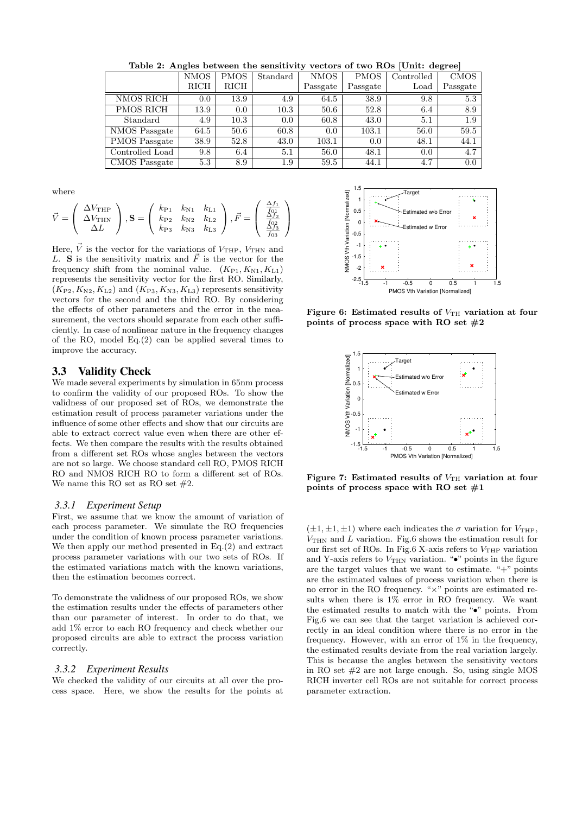|                  | <b>NMOS</b> | <b>PMOS</b> | Standard | <b>NMOS</b> | <b>PMOS</b> | Controlled    | <b>CMOS</b> |
|------------------|-------------|-------------|----------|-------------|-------------|---------------|-------------|
|                  | <b>RICH</b> | RICH        |          | Passgate    | Passgate    | $_{\rm Load}$ | Passgate    |
| NMOS RICH        | 0.0         | 13.9        | 4.9      | 64.5        | 38.9        | 9.8           | 5.3         |
| <b>PMOS RICH</b> | 13.9        | 0.0         | 10.3     | 50.6        | 52.8        | 6.4           | 8.9         |
| Standard         | 4.9         | 10.3        | 0.0      | 60.8        | 43.0        | 5.1           | 1.9         |
| NMOS Passgate    | 64.5        | 50.6        | 60.8     | 0.0         | 103.1       | 56.0          | 59.5        |
| PMOS Passgate    | 38.9        | 52.8        | 43.0     | 103.1       | 0.0         | 48.1          | 44.1        |
| Controlled Load  | 9.8         | 6.4         | 5.1      | 56.0        | 48.1        | 0.0           | 4.7         |
| CMOS Passgate    | 5.3         | 8.9         | $1.9\,$  | 59.5        | 44.1        | 4.7           | 0.0         |

**Table 2: Angles between the sensitivity vectors of two ROs [Unit: degree]**

where

$$
\vec{V} = \left(\begin{array}{c} \Delta V_{\rm THP} \\ \Delta V_{\rm THN} \\ \Delta L \end{array}\right), \mathbf{S} = \left(\begin{array}{ccc} k_{\rm P1} & k_{\rm N1} & k_{\rm L1} \\ k_{\rm P2} & k_{\rm N2} & k_{\rm L2} \\ k_{\rm P3} & k_{\rm N3} & k_{\rm L3} \end{array}\right), \vec{F} = \left(\begin{array}{c} \frac{\Delta f_1}{f_{01}} \\ \frac{\Delta f_2}{f_{02}} \\ \frac{\Delta f_3}{f_{03}} \end{array}\right)
$$

Here,  $\vec{V}$  is the vector for the variations of  $V_{\text{THP}}$ ,  $V_{\text{THN}}$  and *L*. **S** is the sensitivity matrix and  $\vec{F}$  is the vector for the frequency shift from the nominal value.  $(K_{P1}, K_{N1}, K_{L1})$ represents the sensitivity vector for the first RO. Similarly,  $(K_{P2}, K_{N2}, K_{L2})$  and  $(K_{P3}, K_{N3}, K_{L3})$  represents sensitivity vectors for the second and the third RO. By considering the effects of other parameters and the error in the measurement, the vectors should separate from each other sufficiently. In case of nonlinear nature in the frequency changes of the RO, model Eq.(2) can be applied several times to improve the accuracy.

## 3.3 Validity Check

We made several experiments by simulation in 65nm process to confirm the validity of our proposed ROs. To show the validness of our proposed set of ROs, we demonstrate the estimation result of process parameter variations under the influence of some other effects and show that our circuits are able to extract correct value even when there are other effects. We then compare the results with the results obtained from a different set ROs whose angles between the vectors are not so large. We choose standard cell RO, PMOS RICH RO and NMOS RICH RO to form a different set of ROs. We name this RO set as RO set  $#2$ .

#### *3.3.1 Experiment Setup*

First, we assume that we know the amount of variation of each process parameter. We simulate the RO frequencies under the condition of known process parameter variations. We then apply our method presented in Eq.(2) and extract process parameter variations with our two sets of ROs. If the estimated variations match with the known variations, then the estimation becomes correct.

To demonstrate the validness of our proposed ROs, we show the estimation results under the effects of parameters other than our parameter of interest. In order to do that, we add 1% error to each RO frequency and check whether our proposed circuits are able to extract the process variation correctly.

#### *3.3.2 Experiment Results*

We checked the validity of our circuits at all over the process space. Here, we show the results for the points at



**Figure 6:** Estimated results of  $V_{TH}$  variation at four **points of process space with RO set #2**



Figure 7: Estimated results of  $V_{TH}$  variation at four **points of process space with RO set #1**

 $(\pm 1, \pm 1, \pm 1)$  where each indicates the  $\sigma$  variation for  $V_{\text{THP}}$ , *V*THN and *L* variation. Fig.6 shows the estimation result for our first set of ROs. In Fig.6 X-axis refers to  $V_{\text{THP}}$  variation and Y-axis refers to  $V_{\rm THN}$  variation. " $\bullet$ " points in the figure are the target values that we want to estimate. " $+$ " points are the estimated values of process variation when there is no error in the RO frequency. "*×*" points are estimated results when there is 1% error in RO frequency. We want the estimated results to match with the "*•*" points. From Fig.6 we can see that the target variation is achieved correctly in an ideal condition where there is no error in the frequency. However, with an error of 1% in the frequency, the estimated results deviate from the real variation largely. This is because the angles between the sensitivity vectors in RO set #2 are not large enough. So, using single MOS RICH inverter cell ROs are not suitable for correct process parameter extraction.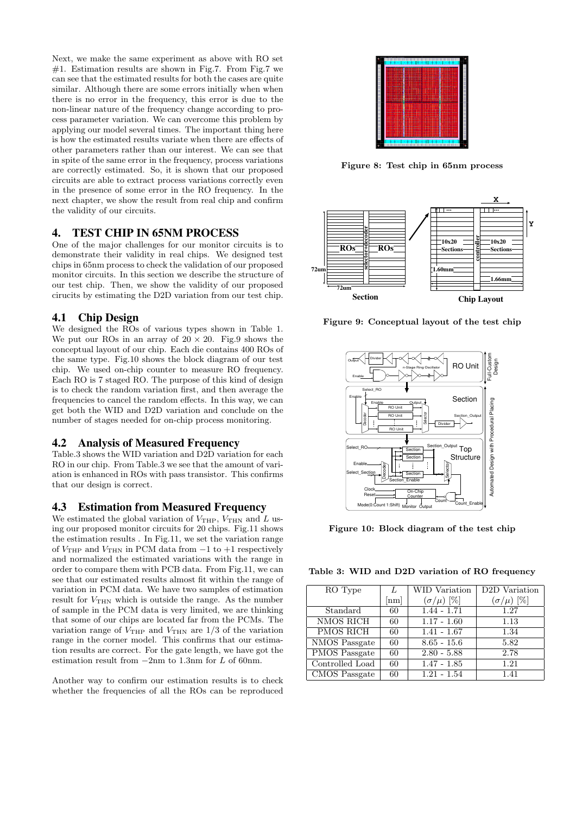Next, we make the same experiment as above with RO set  $#1.$  Estimation results are shown in Fig.7. From Fig.7 we can see that the estimated results for both the cases are quite similar. Although there are some errors initially when when there is no error in the frequency, this error is due to the non-linear nature of the frequency change according to process parameter variation. We can overcome this problem by applying our model several times. The important thing here is how the estimated results variate when there are effects of other parameters rather than our interest. We can see that in spite of the same error in the frequency, process variations are correctly estimated. So, it is shown that our proposed circuits are able to extract process variations correctly even in the presence of some error in the RO frequency. In the next chapter, we show the result from real chip and confirm the validity of our circuits.

#### 4. TEST CHIP IN 65NM PROCESS

One of the major challenges for our monitor circuits is to demonstrate their validity in real chips. We designed test chips in 65nm process to check the validation of our proposed monitor circuits. In this section we describe the structure of our test chip. Then, we show the validity of our proposed cirucits by estimating the D2D variation from our test chip.

## 4.1 Chip Design

We designed the ROs of various types shown in Table 1. We put our ROs in an array of  $20 \times 20$ . Fig.9 shows the conceptual layout of our chip. Each die contains 400 ROs of the same type. Fig.10 shows the block diagram of our test chip. We used on-chip counter to measure RO frequency. Each RO is 7 staged RO. The purpose of this kind of design is to check the random variation first, and then average the frequencies to cancel the random effects. In this way, we can get both the WID and D2D variation and conclude on the number of stages needed for on-chip process monitoring.

#### 4.2 Analysis of Measured Frequency

Table.3 shows the WID variation and D2D variation for each RO in our chip. From Table.3 we see that the amount of variation is enhanced in ROs with pass transistor. This confirms that our design is correct.

#### 4.3 Estimation from Measured Frequency

We estimated the global variation of  $V_{\text{THP}}$ ,  $V_{\text{THN}}$  and *L* using our proposed monitor circuits for 20 chips. Fig.11 shows the estimation results . In Fig.11, we set the variation range of  $V_{\text{THP}}$  and  $V_{\text{THN}}$  in PCM data from  $-1$  to +1 respectively and normalized the estimated variations with the range in order to compare them with PCB data. From Fig.11, we can see that our estimated results almost fit within the range of variation in PCM data. We have two samples of estimation result for  $V_{\text{THN}}$  which is outside the range. As the number of sample in the PCM data is very limited, we are thinking that some of our chips are located far from the PCMs. The variation range of  $V_{\text{THP}}$  and  $V_{\text{THN}}$  are 1/3 of the variation range in the corner model. This confirms that our estimation results are correct. For the gate length, we have got the estimation result from *−*2nm to 1*.*3nm for *L* of 60nm.

Another way to confirm our estimation results is to check whether the frequencies of all the ROs can be reproduced



**Figure 8: Test chip in 65nm process**



**Figure 9: Conceptual layout of the test chip**



**Figure 10: Block diagram of the test chip**

**Table 3: WID and D2D variation of RO frequency**

| RO Type          |              | WID Variation      | D <sub>2</sub> D Variation |
|------------------|--------------|--------------------|----------------------------|
|                  | ${\rm [nm]}$ | $(\sigma/\mu)$ [%] | $(\sigma/\mu)$ [%]         |
| Standard         | 60           | $1.44 - 1.71$      | 1.27                       |
| <b>NMOS RICH</b> | 60           | $1.17 - 1.60$      | 1.13                       |
| PMOS RICH        | 60           | $1.41 - 1.67$      | 1.34                       |
| NMOS Passgate    | 60           | $8.65 - 15.6$      | 5.82                       |
| PMOS Passgate    | 60           | $2.80 - 5.88$      | 2.78                       |
| Controlled Load  | 60           | $1.47 - 1.85$      | 1.21                       |
| CMOS Passgate    | 60           | $1.21 - 1.54$      | 1.41                       |